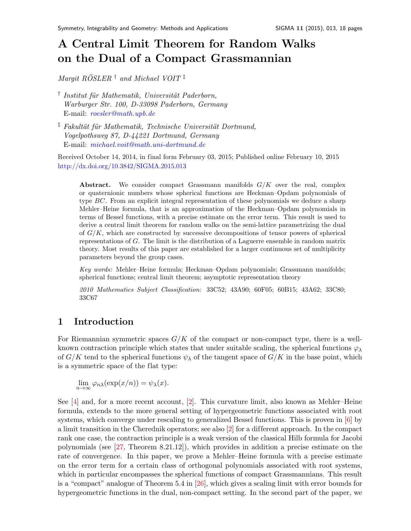# A Central Limit Theorem for Random Walks on the Dual of a Compact Grassmannian

Margit RÖSLER<sup> $\dagger$ </sup> and Michael VOIT<sup> $\ddagger$ </sup>

- <sup>†</sup> Institut für Mathematik, Universität Paderborn, Warburger Str. 100, D-33098 Paderborn, Germany E-mail: [roesler@math.upb.de](mailto:roesler@math.upb.de)
- $\frac{1}{k}$  Fakultät für Mathematik, Technische Universität Dortmund, Vogelpothsweg 87, D-44221 Dortmund, Germany E-mail: [michael.voit@math.uni-dortmund.de](mailto:michael.voit@math.uni-dortmund.de)

Received October 14, 2014, in final form February 03, 2015; Published online February 10, 2015 <http://dx.doi.org/10.3842/SIGMA.2015.013>

Abstract. We consider compact Grassmann manifolds  $G/K$  over the real, complex or quaternionic numbers whose spherical functions are Heckman–Opdam polynomials of type BC. From an explicit integral representation of these polynomials we deduce a sharp Mehler–Heine formula, that is an approximation of the Heckman–Opdam polynomials in terms of Bessel functions, with a precise estimate on the error term. This result is used to derive a central limit theorem for random walks on the semi-lattice parametrizing the dual of  $G/K$ , which are constructed by successive decompositions of tensor powers of spherical representations of G. The limit is the distribution of a Laguerre ensemble in random matrix theory. Most results of this paper are established for a larger continuous set of multiplicity parameters beyond the group cases.

Key words: Mehler–Heine formula; Heckman–Opdam polynomials; Grassmann manifolds; spherical functions; central limit theorem; asymptotic representation theory

2010 Mathematics Subject Classification: 33C52; 43A90; 60F05; 60B15; 43A62; 33C80; 33C67

### 1 Introduction

For Riemannian symmetric spaces  $G/K$  of the compact or non-compact type, there is a wellknown contraction principle which states that under suitable scaling, the spherical functions  $\varphi_{\lambda}$ of  $G/K$  tend to the spherical functions  $\psi_{\lambda}$  of the tangent space of  $G/K$  in the base point, which is a symmetric space of the flat type:

$$
\lim_{n \to \infty} \varphi_{n\lambda}(\exp(x/n)) = \psi_{\lambda}(x).
$$

See [\[4\]](#page-16-0) and, for a more recent account, [\[2\]](#page-16-1). This curvature limit, also known as Mehler–Heine formula, extends to the more general setting of hypergeometric functions associated with root systems, which converge under rescaling to generalized Bessel functions. This is proven in  $[6]$  by a limit transition in the Cherednik operators; see also [\[2\]](#page-16-1) for a dif ferent approach. In the compact rank one case, the contraction principle is a weak version of the classical Hilb formula for Jacobi polynomials (see [\[27,](#page-17-0) Theorem 8.21.12]), which provides in addition a precise estimate on the rate of convergence. In this paper, we prove a Mehler–Heine formula with a precise estimate on the error term for a certain class of orthogonal polynomials associated with root systems, which in particular encompasses the spherical functions of compact Grassmannians. This result is a "compact" analogue of Theorem 5.4 in  $[26]$ , which gives a scaling limit with error bounds for hypergeometric functions in the dual, non-compact setting. In the second part of the paper, we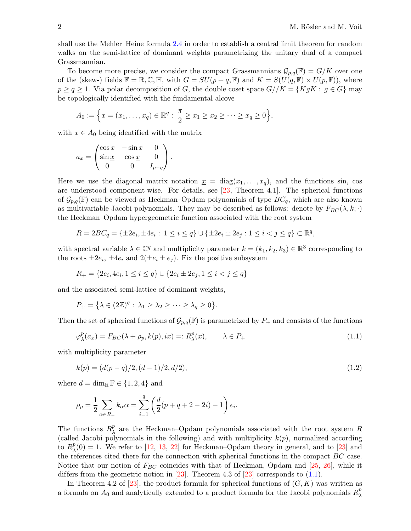shall use the Mehler–Heine formula [2.4](#page-5-0) in order to establish a central limit theorem for random walks on the semi-lattice of dominant weights parametrizing the unitary dual of a compact Grassmannian.

To become more precise, we consider the compact Grassmannians  $\mathcal{G}_{p,q}(\mathbb{F}) = G/K$  over one of the (skew-) fields  $\mathbb{F} = \mathbb{R}, \mathbb{C}, \mathbb{H},$  with  $G = SU(p+q, \mathbb{F})$  and  $K = S(U(q, \mathbb{F}) \times U(p, \mathbb{F}))$ , where  $p \ge q \ge 1$ . Via polar decomposition of G, the double coset space  $G//K = \{KgK : g \in G\}$  may be topologically identified with the fundamental alcove

$$
A_0 := \Big\{ x = (x_1, \dots, x_q) \in \mathbb{R}^q : \frac{\pi}{2} \ge x_1 \ge x_2 \ge \dots \ge x_q \ge 0 \Big\},\
$$

with  $x \in A_0$  being identified with the matrix

$$
a_x = \begin{pmatrix} \cos \underline{x} & -\sin \underline{x} & 0 \\ \sin \underline{x} & \cos \underline{x} & 0 \\ 0 & 0 & I_{p-q} \end{pmatrix}.
$$

Here we use the diagonal matrix notation  $x = diag(x_1, \ldots, x_q)$ , and the functions sin, cos are understood component-wise. For details, see [\[23,](#page-17-2) Theorem 4.1]. The spherical functions of  $\mathcal{G}_{p,q}(\mathbb{F})$  can be viewed as Heckman–Opdam polynomials of type  $BC_q$ , which are also known as multivariable Jacobi polynomials. They may be described as follows: denote by  $F_{BC}(\lambda, k; \cdot)$ the Heckman–Opdam hypergeometric function associated with the root system

$$
R = 2BC_q = \{\pm 2e_i, \pm 4e_i: \ 1 \leq i \leq q\} \cup \{\pm 2e_i \pm 2e_j: 1 \leq i < j \leq q\} \subset \mathbb{R}^q,
$$

with spectral variable  $\lambda \in \mathbb{C}^q$  and multiplicity parameter  $k = (k_1, k_2, k_3) \in \mathbb{R}^3$  corresponding to the roots  $\pm 2e_i$ ,  $\pm 4e_i$  and  $2(\pm e_i \pm e_j)$ . Fix the positive subsystem

$$
R_+ = \{2e_i, 4e_i, 1 \le i \le q\} \cup \{2e_i \pm 2e_j, 1 \le i < j \le q\}
$$

and the associated semi-lattice of dominant weights,

$$
P_+ = \big\{ \lambda \in (2\mathbb{Z})^q : \lambda_1 \geq \lambda_2 \geq \cdots \geq \lambda_q \geq 0 \big\}.
$$

Then the set of spherical functions of  $\mathcal{G}_{p,q}(\mathbb{F})$  is parametrized by  $P_+$  and consists of the functions

<span id="page-1-0"></span>
$$
\varphi_{\lambda}^{p}(a_{x}) = F_{BC}(\lambda + \rho_{p}, k(p), ix) =: R_{\lambda}^{p}(x), \qquad \lambda \in P_{+}
$$
\n(1.1)

with multiplicity parameter

<span id="page-1-1"></span>
$$
k(p) = (d(p - q)/2, (d - 1)/2, d/2),
$$
\n(1.2)

where  $d = \dim_{\mathbb{R}} \mathbb{F} \in \{1, 2, 4\}$  and

$$
\rho_p = \frac{1}{2} \sum_{\alpha \in R_+} k_\alpha \alpha = \sum_{i=1}^q \left( \frac{d}{2} (p + q + 2 - 2i) - 1 \right) e_i.
$$

The functions  $R^p_\lambda$  $\chi^p$  are the Heckman–Opdam polynomials associated with the root system R (called Jacobi polynomials in the following) and with multiplicity  $k(p)$ , normalized according to  $R^p_\lambda$  $\lambda^p(0) = 1$ . We refer to [\[12,](#page-17-3) [13,](#page-17-4) [22\]](#page-17-5) for Heckman–Opdam theory in general, and to [\[23\]](#page-17-2) and the references cited there for the connection with spherical functions in the compact BC case. Notice that our notion of  $F_{BC}$  coincides with that of Heckman, Opdam and [\[25,](#page-17-6) [26\]](#page-17-1), while it differs from the geometric notion in [\[23\]](#page-17-2). Theorem 4.3 of [23] corresponds to  $(1.1)$ .

In Theorem 4.2 of [\[23\]](#page-17-2), the product formula for spherical functions of  $(G, K)$  was written as a formula on  $A_0$  and analytically extended to a product formula for the Jacobi polynomials  $R_\lambda^p$ λ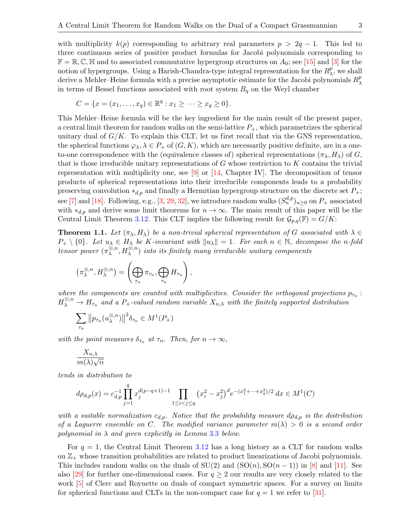with multiplicity  $k(p)$  corresponding to arbitrary real parameters  $p > 2q - 1$ . This led to three continuous series of positive product formulas for Jacobi polynomials corresponding to  $\mathbb{F} = \mathbb{R}, \mathbb{C}, \mathbb{H}$  and to associated commutative hypergroup structures on  $A_0$ ; see [\[15\]](#page-17-7) and [\[3\]](#page-16-3) for the notion of hypergroups. Using a Harish-Chandra-type integral representation for the  $R_{\lambda}^{p}$  $_{\lambda}^{p}$ , we shall derive a Mehler–Heine formula with a precise asymptotic estimate for the Jacobi polynomials  $R_{\lambda}^{p}$ λ in terms of Bessel functions associated with root system  $B<sub>q</sub>$  on the Weyl chamber

$$
C = \{x = (x_1, \dots, x_q) \in \mathbb{R}^q : x_1 \ge \dots \ge x_q \ge 0\}.
$$

This Mehler–Heine formula will be the key ingredient for the main result of the present paper, a central limit theorem for random walks on the semi-lattice  $P_+$ , which parametrizes the spherical unitary dual of  $G/K$ . To explain this CLT, let us first recall that via the GNS representation, the spherical functions  $\varphi_{\lambda}, \lambda \in P_+$  of  $(G, K)$ , which are necessarily positive definite, are in a oneto-one correspondence with the (equivalence classes of) spherical representations  $(\pi_{\lambda}, H_{\lambda})$  of G, that is those irreducible unitary representations of  $G$  whose restriction to  $K$  contains the trivial representation with multiplicity one, see  $[9]$  or  $[14,$  Chapter IV]. The decomposition of tensor products of spherical representations into their irreducible components leads to a probability preserving convolution  $*_{{d,p}}$  and finally a Hermitian hypergroup structure on the discrete set  $P_+$ ; see [\[7\]](#page-16-4) and [\[18\]](#page-17-10). Following, e.g., [\[3,](#page-16-3) [29,](#page-17-11) [32\]](#page-17-12), we introduce random walks  $(S_n^{d,p})_{n\geq 0}$  on  $P_+$  associated with  $*_d,p$  and derive some limit theorems for  $n \to \infty$ . The main result of this paper will be the Central Limit Theorem [3.12.](#page-15-0) This CLT implies the following result for  $\mathcal{G}_{p,q}(\mathbb{F}) = G/K$ :

<span id="page-2-0"></span>**Theorem 1.1.** Let  $(\pi_{\lambda}, H_{\lambda})$  be a non-trivial spherical representation of G associated with  $\lambda \in$  $P_+ \setminus \{0\}$ . Let  $u_\lambda \in H_\lambda$  be K-invariant with  $||u_\lambda|| = 1$ . For each  $n \in \mathbb{N}$ , decompose the n-fold tensor power  $(\pi_{\lambda}^{\otimes,n})$  $(\hat{\otimes}, n, H_{\lambda}^{\hat{\otimes}, n})$  into its finitely many irreducible unitary components

$$
\left(\pi_{\lambda}^{\otimes,n},H_{\lambda}^{\otimes,n}\right)=\left(\bigoplus_{\tau_n}\pi_{\tau_n},\bigoplus_{\tau_n}H_{\tau_n}\right),\,
$$

where the components are counted with multiplicities. Consider the orthogonal projections  $p_{\tau_n}$ :  $H_{\lambda}^{\otimes,n} \to H_{\tau_n}$  and a P<sub>+</sub>-valued random variable  $X_{n,\lambda}$  with the finitely supported distribution

$$
\sum_{\tau_n} ||p_{\tau_n}(u_\lambda^{\otimes,n})||^2 \delta_{\tau_n} \in M^1(P_+)
$$

with the point measures  $\delta_{\tau_n}$  at  $\tau_n$ . Then, for  $n \to \infty$ ,

$$
\frac{X_{n,\lambda}}{m(\lambda)\sqrt{n}}
$$

tends in distribution to

$$
d\rho_{d,p}(x)=c_{d,p}^{-1}\prod_{j=1}^q x_j^{d(p-q+1)-1}\prod_{1\leq i
$$

with a suitable normalization  $c_{d,p}$ . Notice that the probability measure  $d\rho_{d,p}$  is the distribution of a Laguerre ensemble on C. The modified variance parameter  $m(\lambda) > 0$  is a second order polynomial in  $\lambda$  and given explicitly in Lemma [3.3](#page-11-0) below.

For  $q = 1$ , the Central Limit Theorem [3.12](#page-15-0) has a long history as a CLT for random walks on  $\mathbb{Z}_+$  whose transition probabilities are related to product linearizations of Jacobi polynomials. This includes random walks on the duals of  $SU(2)$  and  $(SO(n), SO(n-1))$  in [\[8\]](#page-16-5) and [\[11\]](#page-17-13). See also [\[29\]](#page-17-11) for further one-dimensional cases. For  $q \ge 2$  our results are very closely related to the work  $\overline{5}$  of Clerc and Roynette on duals of compact symmetric spaces. For a survey on limits for spherical functions and CLTs in the non-compact case for  $q = 1$  we refer to [\[31\]](#page-17-14).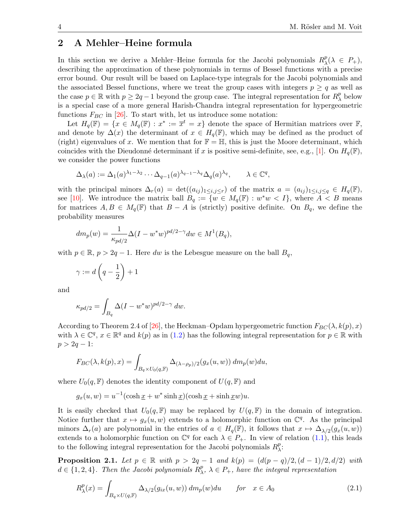## <span id="page-3-2"></span>2 A Mehler–Heine formula

In this section we derive a Mehler–Heine formula for the Jacobi polynomials  $R_{\lambda}^{p}$  $_{\lambda}^{p}(\lambda \in P_{+}),$ describing the approximation of these polynomials in terms of Bessel functions with a precise error bound. Our result will be based on Laplace-type integrals for the Jacobi polynomials and the associated Bessel functions, where we treat the group cases with integers  $p \geq q$  as well as the case  $p \in \mathbb{R}$  with  $p \geq 2q-1$  beyond the group case. The integral representation for  $R_{\lambda}^{p}$  $\chi^p$  below is a special case of a more general Harish-Chandra integral representation for hypergeometric functions  $F_{BC}$  in [\[26\]](#page-17-1). To start with, let us introduce some notation:

Let  $H_q(\mathbb{F}) = \{x \in M_q(\mathbb{F}) : x^* := \overline{x}^t = x\}$  denote the space of Hermitian matrices over  $\mathbb{F}$ , and denote by  $\Delta(x)$  the determinant of  $x \in H_q(\mathbb{F})$ , which may be defined as the product of (right) eigenvalues of x. We mention that for  $\mathbb{F} = \mathbb{H}$ , this is just the Moore determinant, which coincides with the Dieudonné determinant if x is positive semi-definite, see, e.g., [\[1\]](#page-16-7). On  $H_q(\mathbb{F})$ , we consider the power functions

$$
\Delta_{\lambda}(a) := \Delta_1(a)^{\lambda_1 - \lambda_2} \cdots \Delta_{q-1}(a)^{\lambda_{q-1} - \lambda_q} \Delta_q(a)^{\lambda_q}, \qquad \lambda \in \mathbb{C}^q,
$$

with the principal minors  $\Delta_r(a) = \det((a_{ij})_{1\leq i,j\leq r})$  of the matrix  $a = (a_{ij})_{1\leq i,j\leq q} \in H_q(\mathbb{F}),$ see [\[10\]](#page-17-15). We introduce the matrix ball  $B_q := \{w \in M_q(\mathbb{F}) : w^*w < I\}$ , where  $A < B$  means for matrices  $A, B \in M_q(\mathbb{F})$  that  $B - A$  is (strictly) positive definite. On  $B_q$ , we define the probability measures

$$
dm_p(w) = \frac{1}{\kappa_{pd/2}} \Delta (I - w^*w)^{pd/2 - \gamma} dw \in M^1(B_q),
$$

with  $p \in \mathbb{R}$ ,  $p > 2q - 1$ . Here dw is the Lebesgue measure on the ball  $B_q$ ,

$$
\gamma := d\left(q - \frac{1}{2}\right) + 1
$$

and

$$
\kappa_{pd/2} = \int_{B_q} \Delta (I - w^*w)^{pd/2 - \gamma} dw.
$$

According to Theorem 2.4 of [\[26\]](#page-17-1), the Heckman–Opdam hypergeometric function  $F_{BC}(\lambda, k(p), x)$ with  $\lambda \in \mathbb{C}^q$ ,  $x \in \mathbb{R}^q$  and  $k(p)$  as in [\(1.2\)](#page-1-1) has the following integral representation for  $p \in \mathbb{R}$  with  $p > 2q - 1$ :

$$
F_{BC}(\lambda, k(p), x) = \int_{B_q \times U_0(q, \mathbb{F})} \Delta_{(\lambda - \rho_p)/2}(g_x(u, w)) dm_p(w) du,
$$

where  $U_0(q, \mathbb{F})$  denotes the identity component of  $U(q, \mathbb{F})$  and

$$
g_x(u, w) = u^{-1}(\cosh x + w^* \sinh x)(\cosh x + \sinh xw)u.
$$

It is easily checked that  $U_0(q, \mathbb{F})$  may be replaced by  $U(q, \mathbb{F})$  in the domain of integration. Notice further that  $x \mapsto g_x(u, w)$  extends to a holomorphic function on  $\mathbb{C}^q$ . As the principal minors  $\Delta_r(a)$  are polynomial in the entries of  $a \in H_q(\mathbb{F})$ , it follows that  $x \mapsto \Delta_{\lambda/2}(g_x(u,w))$ extends to a holomorphic function on  $\mathbb{C}^q$  for each  $\lambda \in P_+$ . In view of relation [\(1.1\)](#page-1-0), this leads to the following integral representation for the Jacobi polynomials  $R_{\lambda}^{p}$  $\frac{p}{\lambda}$ :

<span id="page-3-0"></span>**Proposition 2.1.** Let  $p \in \mathbb{R}$  with  $p > 2q - 1$  and  $k(p) = (d(p - q)/2, (d - 1)/2, d/2)$  with  $d \in \{1, 2, 4\}$ . Then the Jacobi polynomials  $R_{\lambda}^{p}$  $\lambda$ <sup>p</sup>,  $\lambda \in P_+$ , have the integral representation

<span id="page-3-1"></span>
$$
R_{\lambda}^{p}(x) = \int_{B_{q} \times U(q, \mathbb{F})} \Delta_{\lambda/2}(g_{ix}(u, w)) dm_{p}(w) du \quad \text{for} \quad x \in A_{0}
$$
\n(2.1)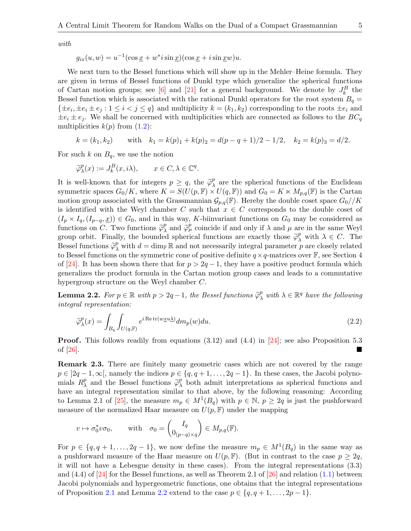with

$$
g_{ix}(u, w) = u^{-1}(\cos x + w^* i \sin x)(\cos x + i \sin x w)u.
$$

We next turn to the Bessel functions which will show up in the Mehler–Heine formula. They are given in terms of Bessel functions of Dunkl type which generalize the spherical functions of Cartan motion groups; see [\[6\]](#page-16-2) and [\[21\]](#page-17-16) for a general background. We denote by  $J_k^B$  the Bessel function which is associated with the rational Dunkl operators for the root system  $B_q =$  $\{\pm e_i, \pm e_i \pm e_j : 1 \leq i < j \leq q\}$  and multiplicity  $k = (k_1, k_2)$  corresponding to the roots  $\pm e_i$  and  $\pm e_i \pm e_j$ . We shall be concerned with multiplicities which are connected as follows to the  $BC_q$ multiplicities  $k(p)$  from  $(1.2)$ :

$$
k = (k_1, k_2)
$$
 with  $k_1 = k(p)_1 + k(p)_2 = d(p - q + 1)/2 - 1/2$ ,  $k_2 = k(p)_3 = d/2$ .

For such k on  $B_q$ , we use the notion

$$
\widetilde{\varphi}^p_\lambda(x) := J^B_k(x, i\lambda), \qquad x \in C, \lambda \in \mathbb{C}^q.
$$

It is well-known that for integers  $p \geq q$ , the  $\widetilde{\varphi}_{\lambda}^{p}$ <br>gymmetric grasses  $C_{\lambda}/K$ , where  $K = S(U(\rho, \mathbb{F}))$  $\chi^p$  are the spherical functions of the Euclidean symmetric spaces  $G_0/K$ , where  $K = S(U(p, \mathbb{F}) \times U(q, \mathbb{F}))$  and  $G_0 = K \times M_{p,q}(\mathbb{F})$  is the Cartan motion group associated with the Grassmannian  $\mathcal{G}_{p,q}(\mathbb{F})$ . Hereby the double coset space  $G_0//K$ is identified with the Weyl chamber C such that  $x \in C$  corresponds to the double coset of  $(I_p \times I_q, (I_{p-q}, \underline{x})) \in G_0$ , and in this way, K-biinvariant functions on  $G_0$  may be considered as functions on C. Two functions  $\widetilde{\varphi}_{\lambda}^{p}$  $\chi^p$  and  $\tilde{\varphi}^p_\mu$  coincide if and only if  $\lambda$  and  $\mu$  are in the same Weyl group orbit. Finally, the bounded spherical functions are exactly those  $\tilde{\varphi}_{\lambda}^{p}$  with  $\lambda \in C$ . The Bessel functions  $\widetilde{\varphi}_{\lambda}^{p}$  with  $d = \dim_{\mathbb{F}} \mathbb{R}$  and not necessarily integral parameter  $p$  are closely related to Bessel functions on the symmetric sons of positive definite  $\alpha \times \alpha$  metrics symmetric sons Sect to Bessel functions on the symmetric cone of positive definite  $q \times q$ -matrices over  $\mathbb{F}$ , see Section 4 of [\[24\]](#page-17-17). It has been shown there that for  $p > 2q - 1$ , they have a positive product formula which generalizes the product formula in the Cartan motion group cases and leads to a commutative hypergroup structure on the Weyl chamber C.

<span id="page-4-0"></span>**Lemma 2.2.** For  $p \in \mathbb{R}$  with  $p > 2q - 1$ , the Bessel functions  $\widetilde{\varphi}_{\lambda}^p$  with  $\lambda \in \mathbb{R}^q$  have the following integral representation: integral representation:

<span id="page-4-1"></span>
$$
\widetilde{\varphi}_{\lambda}^{p}(x) = \int_{B_{q}} \int_{U(q,\mathbb{F})} e^{i \operatorname{Re} \operatorname{tr}(w \underline{x} u \underline{\lambda})} dm_{p}(w) du.
$$
\n(2.2)

**Proof.** This follows readily from equations  $(3.12)$  and  $(4.4)$  in [\[24\]](#page-17-17); see also Proposition 5.3 of  $[26]$ .

<span id="page-4-2"></span>Remark 2.3. There are finitely many geometric cases which are not covered by the range  $p \in [2q-1,\infty]$ , namely the indices  $p \in \{q,q+1,\ldots,2q-1\}$ . In these cases, the Jacobi polynomials  $R^p_\lambda$  $\chi^p$  and the Bessel functions  $\widetilde{\varphi}^p_\lambda$  $\lambda$  both admit interpretations as spherical functions and have an integral representation similar to that above, by the following reasoning: According to Lemma 2.1 of [\[25\]](#page-17-6), the measure  $m_p \in M^1(B_q)$  with  $p \in \mathbb{N}$ ,  $p \geq 2q$  is just the pushforward measure of the normalized Haar measure on  $U(p, F)$  under the mapping

$$
v \mapsto \sigma_0^* v \sigma_0
$$
, with  $\sigma_0 = \begin{pmatrix} I_q \\ 0_{(p-q)\times q} \end{pmatrix} \in M_{p,q}(\mathbb{F})$ .

For  $p \in \{q, q+1, \ldots, 2q-1\}$ , we now define the measure  $m_p \in M^1(B_q)$  in the same way as a pushforward measure of the Haar measure on  $U(p, \mathbb{F})$ . (But in contrast to the case  $p \geq 2q$ , it will not have a Lebesgue density in these cases). From the integral representations (3.3) and  $(4.4)$  of  $\left[24\right]$  for the Bessel functions, as well as Theorem 2.1 of  $\left[26\right]$  and relation  $(1.1)$  between Jacobi polynomials and hypergeometric functions, one obtains that the integral representations of Proposition [2.1](#page-3-0) and Lemma [2.2](#page-4-0) extend to the case  $p \in \{q, q+1, \ldots, 2p-1\}.$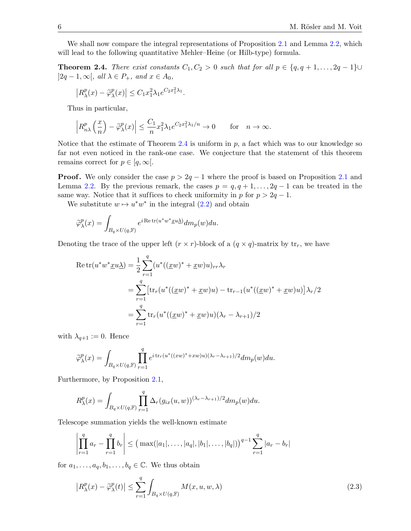We shall now compare the integral representations of Proposition [2.1](#page-3-0) and Lemma [2.2,](#page-4-0) which will lead to the following quantitative Mehler–Heine (or Hilb-type) formula.

<span id="page-5-0"></span>**Theorem 2.4.** There exist constants  $C_1, C_2 > 0$  such that for all  $p \in \{q, q+1, \ldots, 2q-1\} \cup$  $]2q-1,\infty[$ , all  $\lambda \in P_+$ , and  $x \in A_0$ ,

$$
\left| R_{\lambda}^{p}(x) - \tilde{\varphi}_{\lambda}^{p}(x) \right| \leq C_{1} x_{1}^{2} \lambda_{1} e^{C_{2} x_{1}^{2} \lambda_{1}}.
$$

Thus in particular,

$$
\left| R_{n\lambda}^p\left(\frac{x}{n}\right)-\tilde{\varphi}^p_\lambda(x)\right|\leq \frac{C_1}{n}x_1^2\lambda_1e^{C_2x_1^2\lambda_1/n}\to 0\qquad\text{for}\quad n\to\infty.
$$

Notice that the estimate of Theorem [2.4](#page-5-0) is uniform in  $p$ , a fact which was to our knowledge so far not even noticed in the rank-one case. We conjecture that the statement of this theorem remains correct for  $p \in [q, \infty]$ .

**Proof.** We only consider the case  $p > 2q - 1$  where the proof is based on Proposition [2.1](#page-3-0) and Lemma [2.2.](#page-4-0) By the previous remark, the cases  $p = q, q + 1, \ldots, 2q - 1$  can be treated in the same way. Notice that it suffices to check uniformity in p for  $p > 2q - 1$ .

We substitute  $w \mapsto u^*w^*$  in the integral [\(2.2\)](#page-4-1) and obtain

$$
\widetilde{\varphi}^p_\lambda(x) = \int_{B_q \times U(q,\mathbb{F})} e^{i \operatorname{Retr}(u^*w^* \underline{x}u\underline{\lambda})} dm_p(w) du.
$$

Denoting the trace of the upper left  $(r \times r)$ -block of a  $(q \times q)$ -matrix by tr<sub>r</sub>, we have

$$
\operatorname{Re}\operatorname{tr}(u^*w^*\underline{x}u\underline{\lambda}) = \frac{1}{2}\sum_{r=1}^q (u^*((\underline{x}w)^* + \underline{x}w)u)_{rr}\lambda_r
$$
  
= 
$$
\sum_{r=1}^q [\operatorname{tr}_r(u^*((\underline{x}w)^* + \underline{x}w)u) - \operatorname{tr}_{r-1}(u^*((\underline{x}w)^* + \underline{x}w)u)]\lambda_r/2
$$
  
= 
$$
\sum_{r=1}^q \operatorname{tr}_r(u^*((\underline{x}w)^* + \underline{x}w)u)(\lambda_r - \lambda_{r+1})/2
$$

with  $\lambda_{q+1} := 0$ . Hence

$$
\widetilde{\varphi}_{\lambda}^{p}(x) = \int_{B_q \times U(q,\mathbb{F})} \prod_{r=1}^q e^{i \operatorname{tr}_r(u^*((xw)^* + xw)u)(\lambda_r - \lambda_{r+1})/2} dm_p(w) du.
$$

Furthermore, by Proposition [2.1,](#page-3-0)

$$
R_\lambda^p(x)=\int_{B_q\times U(q,\mathbb{F})}\prod_{r=1}^q\Delta_r(g_{ix}(u,w))^{(\lambda_r-\lambda_{r+1})/2}dm_p(w)du.
$$

Telescope summation yields the well-known estimate

$$
\left|\prod_{r=1}^{q} a_r - \prod_{r=1}^{q} b_r\right| \leq \left(\max(|a_1|, \ldots, |a_q|, |b_1|, \ldots, |b_q|)\right)^{q-1} \sum_{r=1}^{q} |a_r - b_r|
$$

for  $a_1, \ldots, a_q, b_1, \ldots, b_q \in \mathbb{C}$ . We thus obtain

<span id="page-5-1"></span>
$$
\left| R_{\lambda}^{p}(x) - \tilde{\varphi}_{\lambda}^{p}(t) \right| \leq \sum_{r=1}^{q} \int_{B_{q} \times U(q, \mathbb{F})} M(x, u, w, \lambda)
$$
\n(2.3)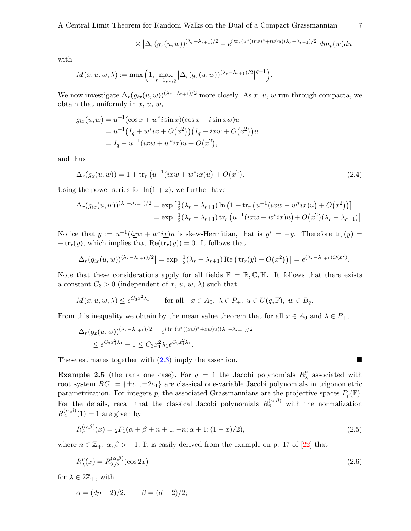<span id="page-6-1"></span>
$$
\times \left| \Delta_r(g_x(u,w))^{(\lambda_r - \lambda_{r+1})/2} - e^{i \operatorname{tr}_r(u^*((tw)^* + tw)u)(\lambda_r - \lambda_{r+1})/2} \right| dm_p(w) dw
$$

with

$$
M(x, u, w, \lambda) := \max\left(1, \max_{r=1,\dots,q} \left| \Delta_r(g_x(u, w))^{(\lambda_r - \lambda_{r+1})/2} \right|^{q-1}\right).
$$

We now investigate  $\Delta_r(g_{ix}(u, w))^{(\lambda_r-\lambda_{r+1})/2}$  more closely. As x, u, w run through compacta, we obtain that uniformly in  $x, u, w$ ,

$$
g_{ix}(u, w) = u^{-1}(\cos \underline{x} + w^*i \sin \underline{x})(\cos \underline{x} + i \sin \underline{x}w)u
$$
  
= 
$$
u^{-1}(I_q + w^*i\underline{x} + O(\underline{x}^2))(I_q + i\underline{x}w + O(\underline{x}^2))u
$$
  
= 
$$
I_q + u^{-1}(i\underline{x}w + w^*i\underline{x})u + O(\underline{x}^2),
$$

and thus

$$
\Delta_r(g_x(u, w)) = 1 + \text{tr}_r\left(u^{-1}(i\underline{x}w + w^*i\underline{x})u\right) + O(x^2). \tag{2.4}
$$

Using the power series for  $\ln(1+z)$ , we further have

$$
\Delta_r(g_{ix}(u,w))^{(\lambda_r-\lambda_{r+1})/2} = \exp\left[\frac{1}{2}(\lambda_r-\lambda_{r+1})\ln\left(1+\text{tr}_r\left(u^{-1}(i\underline{x}w+w^*i\underline{x})u\right)+O(x^2)\right)\right]
$$
  
= 
$$
\exp\left[\frac{1}{2}(\lambda_r-\lambda_{r+1})\text{tr}_r\left(u^{-1}(i\underline{x}w+w^*i\underline{x})u\right)+O(x^2)(\lambda_r-\lambda_{r+1})\right].
$$

Notice that  $y := u^{-1}(i\underline{x}w + w^*i\underline{x})u$  is skew-Hermitian, that is  $y^* = -y$ . Therefore  $\overline{\text{tr}_r(y)}$  $-\operatorname{tr}_r(y)$ , which implies that  $\operatorname{Re}(\operatorname{tr}_r(y)) = 0$ . It follows that

$$
\left|\Delta_r(g_{ix}(u,w))^{(\lambda_r-\lambda_{r+1})/2}\right|=\exp\left[\frac{1}{2}(\lambda_r-\lambda_{r+1})\operatorname{Re}\left(\operatorname{tr}_r(y)+O(x^2)\right)\right]=e^{(\lambda_r-\lambda_{r+1})O(x^2)}.
$$

Note that these considerations apply for all fields  $\mathbb{F} = \mathbb{R}, \mathbb{C}, \mathbb{H}$ . It follows that there exists a constant  $C_3 > 0$  (independent of x, u, w,  $\lambda$ ) such that

$$
M(x, u, w, \lambda) \le e^{C_3 x_1^2 \lambda_1}
$$
 for all  $x \in A_0, \lambda \in P_+$ ,  $u \in U(q, \mathbb{F})$ ,  $w \in B_q$ .

From this inequality we obtain by the mean value theorem that for all  $x \in A_0$  and  $\lambda \in P_+$ ,

$$
\left| \Delta_r(g_x(u, w))^{(\lambda_r - \lambda_{r+1})/2} - e^{i \operatorname{tr}_r(u^*((\underline{x}w)^* + \underline{x}w)u)(\lambda_r - \lambda_{r+1})/2} \right|
$$
  
 
$$
\leq e^{C_3 x_1^2 \lambda_1} - 1 \leq C_3 x_1^2 \lambda_1 e^{C_3 x_1^2 \lambda_1}.
$$

These estimates together with  $(2.3)$  imply the assertion.

<span id="page-6-0"></span>**Example 2.5** (the rank one case). For  $q = 1$  the Jacobi polynomials  $R_{\lambda}^{p}$  $\chi^p$  associated with root system  $BC_1 = {\pm e_1, \pm 2e_1}$  are classical one-variable Jacobi polynomials in trigonometric parametrization. For integers p, the associated Grassmannians are the projective spaces  $P_p(\mathbb{F})$ . For the details, recall that the classical Jacobi polynomials  $R_n^{(\alpha,\beta)}$  with the normalization  $R_n^{(\alpha,\beta)}(1) = 1$  are given by

<span id="page-6-2"></span>
$$
R_n^{(\alpha,\beta)}(x) = {}_2F_1(\alpha + \beta + n + 1, -n; \alpha + 1; (1 - x)/2),
$$
\n(2.5)

where  $n \in \mathbb{Z}_+$ ,  $\alpha, \beta > -1$ . It is easily derived from the example on p. 17 of [\[22\]](#page-17-5) that

<span id="page-6-3"></span>
$$
R_{\lambda}^{p}(x) = R_{\lambda/2}^{(\alpha,\beta)}(\cos 2x)
$$
\n(2.6)

for  $\lambda \in 2\mathbb{Z}_+$ , with

$$
\alpha = (dp - 2)/2, \qquad \beta = (d - 2)/2;
$$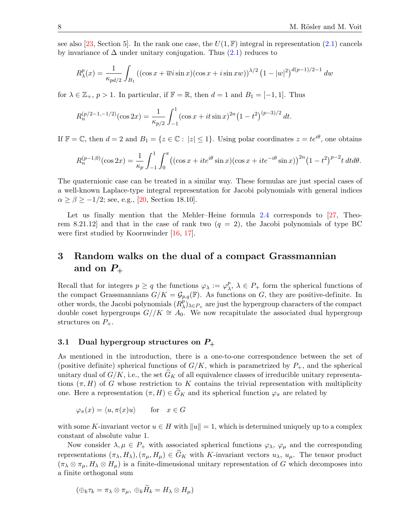see also [\[23,](#page-17-2) Section 5]. In the rank one case, the  $U(1,\mathbb{F})$  integral in representation [\(2.1\)](#page-3-1) cancels by invariance of  $\Delta$  under unitary conjugation. Thus [\(2.1\)](#page-3-1) reduces to

$$
R_{\lambda}^{p}(x) = \frac{1}{\kappa_{pd/2}} \int_{B_1} ((\cos x + \overline{w} i \sin x)(\cos x + i \sin xw))^{\lambda/2} (1 - |w|^2)^{d(p-1)/2 - 1} dw
$$

for  $\lambda \in \mathbb{Z}_+$ ,  $p > 1$ . In particular, if  $\mathbb{F} = \mathbb{R}$ , then  $d = 1$  and  $B_1 = [-1, 1]$ . Thus

$$
R_n^{(p/2-1,-1/2)}(\cos 2x) = \frac{1}{\kappa_{p/2}} \int_{-1}^1 (\cos x + it \sin x)^{2n} (1 - t^2)^{(p-3)/2} dt.
$$

If  $\mathbb{F} = \mathbb{C}$ , then  $d = 2$  and  $B_1 = \{z \in \mathbb{C} : |z| \leq 1\}$ . Using polar coordinates  $z = te^{i\theta}$ , one obtains

$$
R_n^{(p-1,0)}(\cos 2x) = \frac{1}{\kappa_p} \int_{-1}^1 \int_0^\pi \left( (\cos x + it e^{i\theta} \sin x)(\cos x + it e^{-i\theta} \sin x) \right)^{2n} (1 - t^2)^{p-2} t dt d\theta.
$$

The quaternionic case can be treated in a similar way. These formulas are just special cases of a well-known Laplace-type integral representation for Jacobi polynomials with general indices  $\alpha \ge \beta \ge -1/2$ ; see, e.g., [\[20,](#page-17-18) Section 18.10].

Let us finally mention that the Mehler–Heine formula [2.4](#page-5-0) corresponds to [\[27,](#page-17-0) Theorem 8.21.12 and that in the case of rank two  $(q = 2)$ , the Jacobi polynomials of type BC were first studied by Koornwinder [\[16,](#page-17-19) [17\]](#page-17-20).

# 3 Random walks on the dual of a compact Grassmannian and on  $P_+$

Recall that for integers  $p \geq q$  the functions  $\varphi_{\lambda} := \varphi_{\lambda}^{p}$  $\lambda$ ,  $\lambda \in P_+$  form the spherical functions of the compact Grassmannians  $G/K = \mathcal{G}_{p,q}(\mathbb{F})$ . As functions on G, they are positive-definite. In other words, the Jacobi polynomials  $(R_\lambda^p)$  $\chi^p_{\lambda}$ ) $_{\lambda \in P_+}$  are just the hypergroup characters of the compact double coset hypergroups  $G//K \cong A_0$ . We now recapitulate the associated dual hypergroup structures on  $P_+$ .

#### 3.1 Dual hypergroup structures on  $P_+$

As mentioned in the introduction, there is a one-to-one correspondence between the set of (positive definite) spherical functions of  $G/K$ , which is parametrized by  $P_+$ , and the spherical unitary dual of  $G/K$ , i.e., the set  $\widehat{G}_K$  of all equivalence classes of irreducible unitary representations  $(\pi, H)$  of G whose restriction to K contains the trivial representation with multiplicity one. Here a representation  $(\pi, H) \in \widehat{G}_K$  and its spherical function  $\varphi_{\pi}$  are related by

$$
\varphi_{\pi}(x) = \langle u, \pi(x)u \rangle \quad \text{for} \quad x \in G
$$

with some K-invariant vector  $u \in H$  with  $||u|| = 1$ , which is determined uniquely up to a complex constant of absolute value 1.

Now consider  $\lambda, \mu \in P_+$  with associated spherical functions  $\varphi_{\lambda}, \varphi_{\mu}$  and the corresponding representations  $(\pi_\lambda, H_\lambda), (\pi_\mu, H_\mu) \in \widehat{G}_K$  with K-invariant vectors  $u_\lambda, u_\mu$ . The tensor product  $(\pi_{\lambda} \otimes \pi_{\mu}, H_{\lambda} \otimes H_{\mu})$  is a finite-dimensional unitary representation of G which decomposes into a finite orthogonal sum

$$
(\oplus_k \tau_k = \pi_\lambda \otimes \pi_\mu, \ \oplus_k \overline{H}_k = H_\lambda \otimes H_\mu)
$$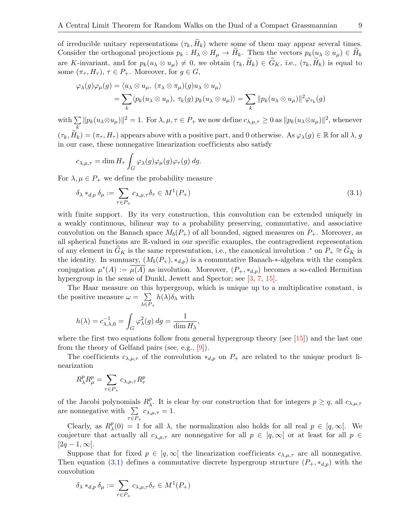of irreducible unitary representations  $(\tau_k, H_k)$  where some of them may appear several times. Consider the orthogonal projections  $p_k : H_\lambda \otimes H_\mu \to \widetilde{H}_k$ . Then the vectors  $p_k(u_\lambda \otimes u_\mu) \in \widetilde{H}_k$ are K-invariant, and for  $p_k(u_\lambda \otimes u_\mu) \neq 0$ , we obtain  $(\tau_k, \tilde{H}_k) \in \hat{G}_K$ , i.e.,  $(\tau_k, \tilde{H}_k)$  is equal to some  $(\pi_{\tau}, H_{\tau}), \tau \in P_+$ . Moreover, for  $g \in G$ ,

$$
\varphi_{\lambda}(g)\varphi_{\mu}(g) = \langle u_{\lambda} \otimes u_{\mu}, (\pi_{\lambda} \otimes \pi_{\mu})(g)u_{\lambda} \otimes u_{\mu} \rangle
$$
  
= 
$$
\sum_{k} \langle p_{k}(u_{\lambda} \otimes u_{\mu}), \tau_{k}(g) p_{k}(u_{\lambda} \otimes u_{\mu}) \rangle = \sum_{k} ||p_{k}(u_{\lambda} \otimes u_{\mu})||^{2} \varphi_{\tau_{k}}(g)
$$

with  $\sum$ k  $||p_k(u_\lambda \otimes u_\mu)||^2 = 1$ . For  $\lambda, \mu, \tau \in P_+$  we now define  $c_{\lambda,\mu,\tau} \geq 0$  as  $||p_k(u_\lambda \otimes u_\mu)||^2$ , whenever  $(\tau_k, \widetilde{H}_k) = (\pi_\tau, H_\tau)$  appears above with a positive part, and 0 otherwise. As  $\varphi_\lambda(g) \in \mathbb{R}$  for all  $\lambda, g$ in our case, these nonnegative linearization coef ficients also satisfy

$$
c_{\lambda,\mu,\tau} = \dim H_{\tau} \int_G \varphi_{\lambda}(g) \varphi_{\mu}(g) \varphi_{\tau}(g) dg.
$$

For  $\lambda, \mu \in P_+$  we define the probability measure

<span id="page-8-0"></span>
$$
\delta_{\lambda} *_{d,p} \delta_{\mu} := \sum_{\tau \in P_+} c_{\lambda,\mu,\tau} \delta_{\tau} \in M^1(P_+) \tag{3.1}
$$

with finite support. By its very construction, this convolution can be extended uniquely in a weakly continuous, bilinear way to a probability preserving, commutative, and associative convolution on the Banach space  $M_b(P_+)$  of all bounded, signed measures on  $P_+$ . Moreover, as all spherical functions are R-valued in our specific examples, the contragredient representation of any element in  $\widehat{G}_K$  is the same representation, i.e., the canonical involution .\* on  $P_+ \cong \widehat{G}_K$  is the identity. In summary,  $(M_b(P_+), *_{d,p})$  is a commutative Banach- $*$ -algebra with the complex conjugation  $\mu^*(A) := \overline{\mu(A)}$  as involution. Moreover,  $(P_+, *_{d,p})$  becomes a so-called Hermitian hypergroup in the sense of Dunkl, Jewett and Spector; see [\[3,](#page-16-3) [7,](#page-16-4) [15\]](#page-17-7).

The Haar measure on this hypergroup, which is unique up to a multiplicative constant, is the positive measure  $\omega = \sum$  $\lambda \in P_+$  $h(\lambda)\delta_\lambda$  with

$$
h(\lambda) = c_{\lambda,\lambda,0}^{-1} = \int_G \varphi_\lambda^2(g) \, dg = \frac{1}{\dim H_\lambda},
$$

where the first two equations follow from general hypergroup theory (see [\[15\]](#page-17-7)) and the last one from the theory of Gelfand pairs (see, e.g.,  $[9]$ ).

The coefficients  $c_{\lambda,\mu,\tau}$  of the convolution  $*_d,p$  on  $P_+$  are related to the unique product linearization

$$
R^p_\lambda R^p_\mu = \sum_{\tau \in P_+} c_{\lambda,\mu,\tau} R^p_\tau
$$

of the Jacobi polynomials  $R_\lambda^p$ <sup>p</sup>. It is clear by our construction that for integers  $p \ge q$ , all  $c_{\lambda,\mu,\tau}$ are nonnegative with  $\Sigma$  $\tau \in P_+$  $c_{\lambda,\mu,\tau}=1.$ 

Clearly, as  $R_{\lambda}^{p}$  $\chi^p(0) = 1$  for all  $\lambda$ , the normalization also holds for all real  $p \in [q, \infty]$ . We conjecture that actually all  $c_{\lambda,\mu,\tau}$  are nonnegative for all  $p \in [q,\infty]$  or at least for all  $p \in$  $|2q - 1, \infty|$ .

Suppose that for fixed  $p \in [q, \infty]$  the linearization coefficients  $c_{\lambda,\mu,\tau}$  are all nonnegative. Then equation [\(3.1\)](#page-8-0) defines a commutative discrete hypergroup structure  $(P_+, *_{d,p})$  with the convolution

$$
\delta_\lambda *_{d,p} \delta_\mu := \sum_{\tau \in P_+} c_{\lambda,\mu,\tau} \delta_\tau \in M^1(P_+)
$$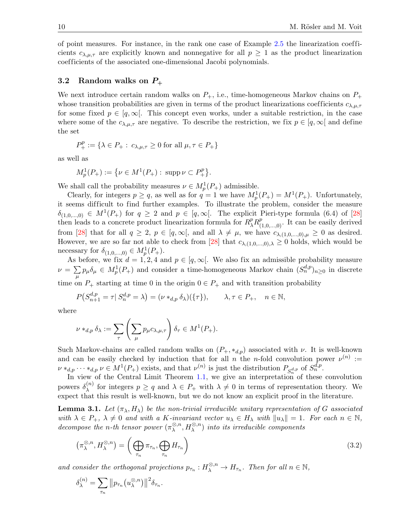of point measures. For instance, in the rank one case of Example  $2.5$  the linearization coefficients  $c_{\lambda,\mu,\tau}$  are explicitly known and nonnegative for all  $p \geq 1$  as the product linearization coef ficients of the associated one-dimensional Jacobi polynomials.

#### <span id="page-9-1"></span>3.2 Random walks on  $P_+$

We next introduce certain random walks on  $P_+$ , i.e., time-homogeneous Markov chains on  $P_+$ whose transition probabilities are given in terms of the product linearizations coefficients  $c_{\lambda,\mu,\tau}$ for some fixed  $p \in [q, \infty]$ . This concept even works, under a suitable restriction, in the case where some of the  $c_{\lambda,\mu,\tau}$  are negative. To describe the restriction, we fix  $p \in [q,\infty]$  and define the set

$$
P_+^p := \{ \lambda \in P_+ : c_{\lambda,\mu,\tau} \ge 0 \text{ for all } \mu,\tau \in P_+ \}
$$

as well as

$$
M_p^1(P_+) := \{ \nu \in M^1(P_+) : \text{ supp } \nu \subset P_+^p \}.
$$

We shall call the probability measures  $\nu \in M_p^1(P_+)$  admissible.

Clearly, for integers  $p \ge q$ , as well as for  $q = 1$  we have  $M_p^1(P_+) = M^1(P_+)$ . Unfortunately, it seems difficult to find further examples. To illustrate the problem, consider the measure  $\delta_{(1,0,...,0)} \in M^1(P_+)$  for  $q \geq 2$  and  $p \in [q,\infty[$ . The explicit Pieri-type formula (6.4) of [\[28\]](#page-17-21) then leads to a concrete product linearization formula for  $R_{\lambda}^p R_{(1,0,...,0)}^p$ . It can be easily derived from [\[28\]](#page-17-21) that for all  $q \geq 2$ ,  $p \in [q, \infty)$ , and all  $\lambda \neq \mu$ , we have  $c_{\lambda,(1,0,...,0),\mu} \geq 0$  as desired. However, we are so far not able to check from [\[28\]](#page-17-21) that  $c_{\lambda,(1,0,...,0),\lambda} \geq 0$  holds, which would be necessary for  $\delta_{(1,0,...,0)} \in M_p^1(P_+).$ 

As before, we fix  $d = 1, 2, 4$  and  $p \in [q, \infty]$ . We also fix an admissible probability measure  $\nu = \sum$  $\sum_{\mu} p_{\mu} \delta_{\mu} \in M_p^1(P_+)$  and consider a time-homogeneous Markov chain  $(S_n^{d,p})_{n\geq 0}$  in discrete

time on  $P_+$  starting at time 0 in the origin  $0 \in P_+$  and with transition probability

$$
P(S_{n+1}^{d,p} = \tau | S_n^{d,p} = \lambda) = (\nu *_{d,p} \delta_\lambda)(\{\tau\}), \qquad \lambda, \tau \in P_+, \quad n \in \mathbb{N},
$$

where

$$
\nu *_{d,p} \delta_{\lambda} := \sum_{\tau} \left( \sum_{\mu} p_{\mu} c_{\lambda,\mu,\tau} \right) \delta_{\tau} \in M^{1}(P_{+}).
$$

Such Markov-chains are called random walks on  $(P_+, *_{d,p})$  associated with  $\nu$ . It is well-known and can be easily checked by induction that for all n the n-fold convolution power  $\nu^{(n)}$  :=  $\nu *_{d,p} \cdots *_{d,p} \nu \in M^{1}(P_{+})$  exists, and that  $\nu^{(n)}$  is just the distribution  $P_{S_{n}^{d,p}}$  of  $S_{n}^{\bar{d},p}$ .

In view of the Central Limit Theorem [1.1,](#page-2-0) we give an interpretation of these convolution powers  $\delta_{\lambda}^{(n)}$  $\lambda$  for integers  $p \ge q$  and  $\lambda \in P_+$  with  $\lambda \ne 0$  in terms of representation theory. We expect that this result is well-known, but we do not know an explicit proof in the literature.

<span id="page-9-2"></span>**Lemma 3.1.** Let  $(\pi_{\lambda}, H_{\lambda})$  be the non-trivial irreducible unitary representation of G associated with  $\lambda \in P_+$ ,  $\lambda \neq 0$  and with a K-invariant vector  $u_\lambda \in H_\lambda$  with  $||u_\lambda|| = 1$ . For each  $n \in \mathbb{N}$ , decompose the n-th tensor power  $(\pi_{\lambda}^{\otimes n})$  $\mathbb{R}_{\lambda}^{\otimes,n},H_{\lambda}^{\otimes,n}$  into its irreducible components

<span id="page-9-0"></span>
$$
\left(\pi_{\lambda}^{\otimes,n}, H_{\lambda}^{\otimes,n}\right) = \left(\bigoplus_{\tau_n} \pi_{\tau_n}, \bigoplus_{\tau_n} H_{\tau_n}\right) \tag{3.2}
$$

and consider the orthogonal projections  $p_{\tau_n}: H_{\lambda}^{\otimes n} \to H_{\tau_n}$ . Then for all  $n \in \mathbb{N}$ ,

$$
\delta_{\lambda}^{(n)} = \sum_{\tau_n} ||p_{\tau_n}(u_{\lambda}^{\otimes n})||^2 \delta_{\tau_n}.
$$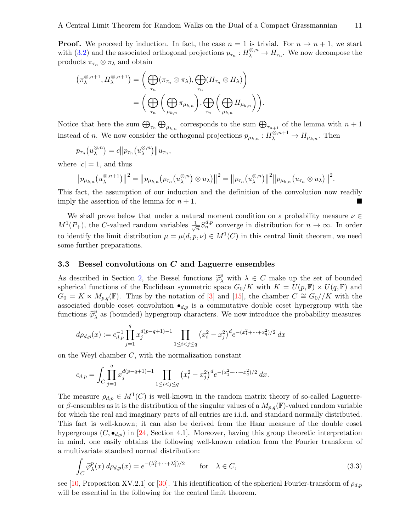**Proof.** We proceed by induction. In fact, the case  $n = 1$  is trivial. For  $n \to n + 1$ , we start with [\(3.2\)](#page-9-0) and the associated orthogonal projections  $p_{\tau_n}: H_{\lambda}^{\otimes,n} \to H_{\tau_n}$ . We now decompose the products  $\pi_{\tau_n} \otimes \pi_\lambda$  and obtain

$$
(\pi_{\lambda}^{\otimes,n+1},H_{\lambda}^{\otimes,n+1}) = \left(\bigoplus_{\tau_n} (\pi_{\tau_n} \otimes \pi_{\lambda}), \bigoplus_{\tau_n} (H_{\tau_n} \otimes H_{\lambda})\right)
$$
  
= 
$$
\left(\bigoplus_{\tau_n} \left(\bigoplus_{\mu_{k,n}} \pi_{\mu_{k,n}}\right), \bigoplus_{\tau_n} \left(\bigoplus_{\mu_{k,n}} H_{\mu_{k,n}}\right)\right).
$$

Notice that here the sum  $\bigoplus_{\tau_n}\bigoplus_{\mu_{k,n}}$  corresponds to the sum  $\bigoplus_{\tau_{n+1}}$  of the lemma with  $n+1$ instead of *n*. We now consider the orthogonal projections  $p_{\mu_{k,n}} : H_{\lambda}^{\otimes,n+1} \to H_{\mu_{k,n}}$ . Then

$$
p_{\tau_n}(u_\lambda^{\otimes,n})=c\|p_{\tau_n}(u_\lambda^{\otimes,n})\|u_{\tau_n},
$$

where  $|c| = 1$ , and thus

$$
||p_{\mu_{k,n}}(u_{\lambda}^{\otimes,n+1})||^2=||p_{\mu_{k,n}}(p_{\tau_n}(u_{\lambda}^{\otimes,n})\otimes u_{\lambda})||^2=||p_{\tau_n}(u_{\lambda}^{\otimes,n})||^2||p_{\mu_{k,n}}(u_{\tau_n}\otimes u_{\lambda})||^2.
$$

This fact, the assumption of our induction and the definition of the convolution now readily imply the assertion of the lemma for  $n + 1$ .

We shall prove below that under a natural moment condition on a probability measure  $\nu \in$  $M^1(P_+)$ , the C-valued random variables  $\frac{1}{\sqrt{2}}$  $\frac{1}{n}S_n^{d,p}$  converge in distribution for  $n \to \infty$ . In order to identify the limit distribution  $\mu = \mu(d, p, \nu) \in M^1(C)$  in this central limit theorem, we need some further preparations.

#### 3.3 Bessel convolutions on C and Laguerre ensembles

As described in Section [2,](#page-3-2) the Bessel functions  $\tilde{\varphi}_{\lambda}^{p}$  with  $\lambda \in C$  make up the set of bounded<br>contained functions of the Euclidean cummatrie grapes  $C_1/K$  with  $K = U(p, \mathbb{F}) \times U(p, \mathbb{F})$  and spherical functions of the Euclidean symmetric space  $G_0/K$  with  $K = U(p, F) \times U(q, F)$  and  $G_0 = K \ltimes M_{p,q}(\mathbb{F})$ . Thus by the notation of [\[3\]](#page-16-3) and [\[15\]](#page-17-7), the chamber  $C \cong G_0//K$  with the associated double coset convolution  $\bullet_{d,p}$  is a commutative double coset hypergroup with the functions  $\widetilde{\varphi}^p_{\lambda}$  $\lambda$ <sup>*p*</sup> as (bounded) hypergroup characters. We now introduce the probability measures

$$
d\rho_{d,p}(x):=c_{d,p}^{-1}\prod_{j=1}^q x_j^{d(p-q+1)-1}\prod_{1\leq i
$$

on the Weyl chamber C, with the normalization constant

$$
c_{d,p} = \int_C \prod_{j=1}^q x_j^{d(p-q+1)-1} \prod_{1 \le i < j \le q} \left( x_i^2 - x_j^2 \right)^d e^{-(x_1^2 + \dots + x_q^2)/2} \, dx.
$$

The measure  $\rho_{d,p} \in M^1(C)$  is well-known in the random matrix theory of so-called Laguerreor β-ensembles as it is the distribution of the singular values of a  $M_{p,q}(\mathbb{F})$ -valued random variable for which the real and imaginary parts of all entries are i.i.d. and standard normally distributed. This fact is well-known; it can also be derived from the Haar measure of the double coset hypergroups  $(C, \bullet_{d,p})$  in [\[24,](#page-17-17) Section 4.1]. Moreover, having this group theoretic interpretation in mind, one easily obtains the following well-known relation from the Fourier transform of a multivariate standard normal distribution:

<span id="page-10-0"></span>
$$
\int_C \widetilde{\varphi}^p_\lambda(x) d\rho_{d,p}(x) = e^{-(\lambda_1^2 + \dots + \lambda_1^2)/2} \qquad \text{for} \quad \lambda \in C,
$$
\n(3.3)

see [\[10,](#page-17-15) Proposition XV.2.1] or [\[30\]](#page-17-22). This identification of the spherical Fourier-transform of  $\rho_{d,p}$ will be essential in the following for the central limit theorem.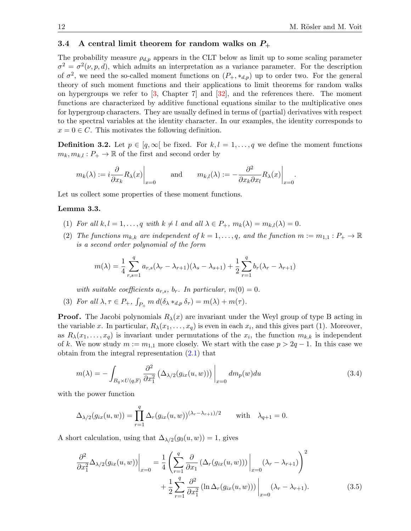#### 3.4 A central limit theorem for random walks on  $P_+$

The probability measure  $\rho_{d,p}$  appears in the CLT below as limit up to some scaling parameter  $\sigma^2 = \sigma^2(\nu, p, d)$ , which admits an interpretation as a variance parameter. For the description of  $\sigma^2$ , we need the so-called moment functions on  $(P_+, *_{d,p})$  up to order two. For the general theory of such moment functions and their applications to limit theorems for random walks on hypergroups we refer to  $[3, \text{ Chapter 7}]$  $[3, \text{ Chapter 7}]$  and  $[32]$ , and the references there. The moment functions are characterized by additive functional equations similar to the multiplicative ones for hypergroup characters. They are usually defined in terms of (partial) derivatives with respect to the spectral variables at the identity character. In our examples, the identity corresponds to  $x = 0 \in C$ . This motivates the following definition.

**Definition 3.2.** Let  $p \in [q, \infty]$  be fixed. For  $k, l = 1, \ldots, q$  we define the moment functions  $m_k, m_{k,l} : P_+ \to \mathbb{R}$  of the first and second order by

$$
m_k(\lambda) := i \frac{\partial}{\partial x_k} R_\lambda(x) \Big|_{x=0} \quad \text{and} \quad m_{k,l}(\lambda) := - \frac{\partial^2}{\partial x_k \partial x_l} R_\lambda(x) \Big|_{x=0}.
$$

Let us collect some properties of these moment functions.

#### <span id="page-11-0"></span>Lemma 3.3.

- (1) For all  $k, l = 1, ..., q$  with  $k \neq l$  and all  $\lambda \in P_+, m_k(\lambda) = m_{k,l}(\lambda) = 0$ .
- (2) The functions  $m_{k,k}$  are independent of  $k = 1, \ldots, q$ , and the function  $m := m_{1,1} : P_+ \to \mathbb{R}$ is a second order polynomial of the form

$$
m(\lambda) = \frac{1}{4} \sum_{r,s=1}^{q} a_{r,s} (\lambda_r - \lambda_{r+1}) (\lambda_s - \lambda_{s+1}) + \frac{1}{2} \sum_{r=1}^{q} b_r (\lambda_r - \lambda_{r+1})
$$

with suitable coefficients  $a_{r,s}$ ,  $b_r$ . In particular,  $m(0) = 0$ .

(3) For all  $\lambda, \tau \in P_+$ ,  $\int_{P_+} m d(\delta_{\lambda} *_{d,p} \delta_{\tau}) = m(\lambda) + m(\tau)$ .

**Proof.** The Jacobi polynomials  $R_{\lambda}(x)$  are invariant under the Weyl group of type B acting in the variable x. In particular,  $R_{\lambda}(x_1,\ldots,x_q)$  is even in each  $x_i$ , and this gives part (1). Moreover, as  $R_{\lambda}(x_1,\ldots,x_q)$  is invariant under permutations of the  $x_i$ , the function  $m_{k,k}$  is independent of k. We now study  $m := m_{1,1}$  more closely. We start with the case  $p > 2q - 1$ . In this case we obtain from the integral representation [\(2.1\)](#page-3-1) that

<span id="page-11-1"></span>
$$
m(\lambda) = -\int_{B_q \times U(q,\mathbb{F})} \frac{\partial^2}{\partial x_1^2} \left( \Delta_{\lambda/2}(g_{ix}(u,w)) \right) \Big|_{x=0} dm_p(w) du \tag{3.4}
$$

with the power function

$$
\Delta_{\lambda/2}(g_{ix}(u,w)) = \prod_{r=1}^q \Delta_r(g_{ix}(u,w))^{(\lambda_r - \lambda_{r+1})/2} \quad \text{with} \quad \lambda_{q+1} = 0.
$$

A short calculation, using that  $\Delta_{\lambda/2}(g_0(u, w)) = 1$ , gives

<span id="page-11-2"></span>
$$
\frac{\partial^2}{\partial x_1^2} \Delta_{\lambda/2}(g_{ix}(u, w))\Big|_{x=0} = \frac{1}{4} \left( \sum_{r=1}^q \frac{\partial}{\partial x_1} \left( \Delta_r(g_{ix}(u, w)) \right) \Big|_{x=0} (\lambda_r - \lambda_{r+1}) \right)^2 \n+ \frac{1}{2} \sum_{r=1}^q \frac{\partial^2}{\partial x_1^2} \left( \ln \Delta_r(g_{ix}(u, w)) \right) \Big|_{x=0} (\lambda_r - \lambda_{r+1}).
$$
\n(3.5)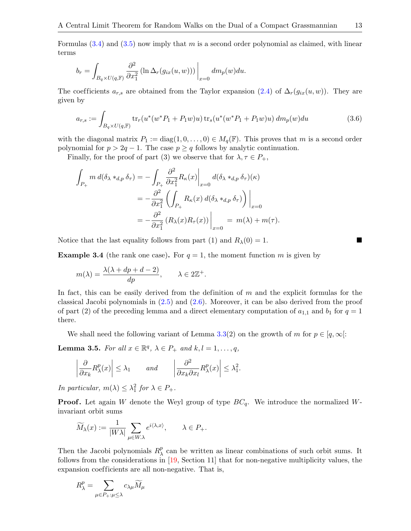Formulas  $(3.4)$  and  $(3.5)$  now imply that m is a second order polynomial as claimed, with linear terms

$$
b_r = \int_{B_q \times U(q, \mathbb{F})} \frac{\partial^2}{\partial x_1^2} \left( \ln \Delta_r(g_{ix}(u, w)) \right) \Big|_{x=0} dm_p(w) du.
$$

The coefficients  $a_{r,s}$  are obtained from the Taylor expansion [\(2.4\)](#page-6-1) of  $\Delta_r(g_{ix}(u, w))$ . They are given by

<span id="page-12-0"></span>
$$
a_{r,s} := \int_{B_q \times U(q,\mathbb{F})} \text{tr}_r(u^*(w^*P_1 + P_1w)u) \text{tr}_s(u^*(w^*P_1 + P_1w)u) \, dm_p(w) du \tag{3.6}
$$

with the diagonal matrix  $P_1 := \text{diag}(1, 0, \ldots, 0) \in M_q(\mathbb{F})$ . This proves that m is a second order polynomial for  $p > 2q - 1$ . The case  $p \geq q$  follows by analytic continuation.

Finally, for the proof of part (3) we observe that for  $\lambda, \tau \in P_+$ ,

$$
\int_{P_+} m \, d(\delta_\lambda *_{d,p} \delta_\tau) = -\int_{P_+} \frac{\partial^2}{\partial x_1^2} R_\kappa(x) \Big|_{x=0} d(\delta_\lambda *_{d,p} \delta_\tau)(\kappa)
$$
  
= 
$$
-\frac{\partial^2}{\partial x_1^2} \left( \int_{P_+} R_\kappa(x) \, d(\delta_\lambda *_{d,p} \delta_\tau) \right) \Big|_{x=0}
$$
  
= 
$$
-\frac{\partial^2}{\partial x_1^2} \left( R_\lambda(x) R_\tau(x) \right) \Big|_{x=0} = m(\lambda) + m(\tau).
$$

Notice that the last equality follows from part (1) and  $R_\lambda(0) = 1$ .

**Example 3.4** (the rank one case). For  $q = 1$ , the moment function m is given by

$$
m(\lambda) = \frac{\lambda(\lambda + dp + d - 2)}{dp}, \qquad \lambda \in 2\mathbb{Z}^+.
$$

In fact, this can be easily derived from the definition of  $m$  and the explicit formulas for the classical Jacobi polynomials in  $(2.5)$  and  $(2.6)$ . Moreover, it can be also derived from the proof of part (2) of the preceding lemma and a direct elementary computation of  $a_{1,1}$  and  $b_1$  for  $q=1$ there.

We shall need the following variant of Lemma [3.3\(](#page-11-0)2) on the growth of m for  $p \in [q, \infty]$ :

<span id="page-12-1"></span>**Lemma 3.5.** For all  $x \in \mathbb{R}^q$ ,  $\lambda \in P_+$  and  $k, l = 1, \ldots, q$ ,

$$
\left|\frac{\partial}{\partial x_k}R_\lambda^p(x)\right| \le \lambda_1 \quad \text{and} \quad \left|\frac{\partial^2}{\partial x_k \partial x_l}R_\lambda^p(x)\right| \le \lambda_1^2.
$$

In particular,  $m(\lambda) \leq \lambda_1^2$  for  $\lambda \in P_+$ .

**Proof.** Let again W denote the Weyl group of type  $BC_q$ . We introduce the normalized Winvariant orbit sums

$$
\widetilde{M}_{\lambda}(x) := \frac{1}{|W\lambda|} \sum_{\mu \in W.\lambda} e^{i\langle \lambda, x \rangle}, \qquad \lambda \in P_+.
$$

Then the Jacobi polynomials  $R_{\lambda}^{p}$  $\lambda$  can be written as linear combinations of such orbit sums. It follows from the considerations in [\[19,](#page-17-23) Section 11] that for non-negative multiplicity values, the expansion coefficients are all non-negative. That is,

$$
R_\lambda^p = \sum_{\mu \in P_+:\mu \leq \lambda} c_{\lambda \mu} \widetilde{M}_\mu
$$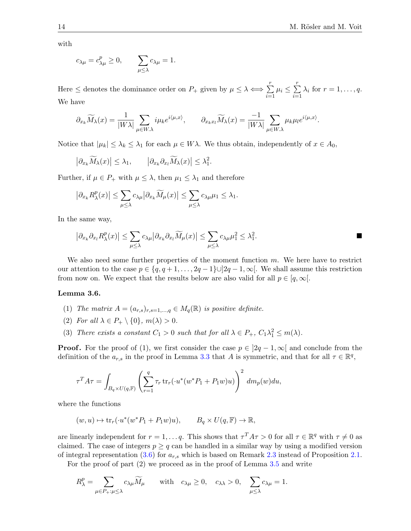with

$$
c_{\lambda\mu} = c_{\lambda\mu}^p \ge 0, \qquad \sum_{\mu \le \lambda} c_{\lambda\mu} = 1.
$$

Here  $\leq$  denotes the dominance order on  $P_+$  given by  $\mu \leq \lambda \Longleftrightarrow \sum^r$  $i=1$  $\mu_i \leq \sum^r$  $i=1$  $\lambda_i$  for  $r = 1, \ldots, q$ . We have

$$
\partial_{x_k} \widetilde{M}_{\lambda}(x) = \frac{1}{|W\lambda|} \sum_{\mu \in W\lambda} i\mu_k e^{i\langle \mu, x \rangle}, \qquad \partial_{x_k x_l} \widetilde{M}_{\lambda}(x) = \frac{-1}{|W\lambda|} \sum_{\mu \in W\lambda} \mu_k \mu_l e^{i\langle \mu, x \rangle}.
$$

Notice that  $|\mu_k| \leq \lambda_k \leq \lambda_1$  for each  $\mu \in W\lambda$ . We thus obtain, independently of  $x \in A_0$ ,

$$
\left|\partial_{x_k}\widetilde{M}_{\lambda}(x)\right| \leq \lambda_1, \qquad \left|\partial_{x_k}\partial_{x_l}\widetilde{M}_{\lambda}(x)\right| \leq \lambda_1^2.
$$

Further, if  $\mu \in P_+$  with  $\mu \leq \lambda$ , then  $\mu_1 \leq \lambda_1$  and therefore

$$
\left|\partial_{x_k} R_{\lambda}^p(x)\right| \leq \sum_{\mu \leq \lambda} c_{\lambda \mu} \left|\partial_{x_k} \widetilde{M}_{\mu}(x)\right| \leq \sum_{\mu \leq \lambda} c_{\lambda \mu} \mu_1 \leq \lambda_1.
$$

In the same way,

$$
\left|\partial_{x_k}\partial_{x_l}R_{\lambda}^p(x)\right|\leq \sum_{\mu\leq\lambda}c_{\lambda\mu}\left|\partial_{x_k}\partial_{x_l}\widetilde{M}_{\mu}(x)\right|\leq \sum_{\mu\leq\lambda}c_{\lambda\mu}\mu_1^2\leq\lambda_1^2.
$$

We also need some further properties of the moment function  $m$ . We here have to restrict our attention to the case  $p \in \{q, q+1, \ldots, 2q-1\} \cup [2q-1, \infty]$ . We shall assume this restriction from now on. We expect that the results below are also valid for all  $p \in [q, \infty]$ .

#### <span id="page-13-0"></span>Lemma 3.6.

- (1) The matrix  $A = (a_{r,s})_{r,s=1,\dots,q} \in M_q(\mathbb{R})$  is positive definite.
- (2) For all  $\lambda \in P_+ \setminus \{0\}$ ,  $m(\lambda) > 0$ .
- (3) There exists a constant  $C_1 > 0$  such that for all  $\lambda \in P_+$ ,  $C_1 \lambda_1^2 \le m(\lambda)$ .

**Proof.** For the proof of (1), we first consider the case  $p \in ]2q - 1, \infty[$  and conclude from the definition of the  $a_{r,s}$  in the proof in Lemma [3.3](#page-11-0) that A is symmetric, and that for all  $\tau \in \mathbb{R}^q$ ,

$$
\tau^T A \tau = \int_{B_q \times U(q, \mathbb{F})} \left( \sum_{r=1}^q \tau_r \operatorname{tr}_r(\cdot u^*(w^* P_1 + P_1 w) u) \right)^2 dm_p(w) du,
$$

where the functions

$$
(w, u) \mapsto \text{tr}_r(\cdot u^*(w^*P_1 + P_1w)u), \qquad B_q \times U(q, \mathbb{F}) \to \mathbb{R},
$$

are linearly independent for  $r = 1, \ldots, q$ . This shows that  $\tau^T A \tau > 0$  for all  $\tau \in \mathbb{R}^q$  with  $\tau \neq 0$  as claimed. The case of integers  $p \geq q$  can be handled in a similar way by using a modified version of integral representation  $(3.6)$  for  $a_{r,s}$  which is based on Remark [2.3](#page-4-2) instead of Proposition [2.1.](#page-3-0)

For the proof of part (2) we proceed as in the proof of Lemma [3.5](#page-12-1) and write

$$
R_\lambda^p = \sum_{\mu \in P_+:\mu \leq \lambda} c_{\lambda \mu} \widetilde{M}_{\mu} \quad \text{with} \quad c_{\lambda \mu} \geq 0, \quad c_{\lambda \lambda} > 0, \quad \sum_{\mu \leq \lambda} c_{\lambda \mu} = 1.
$$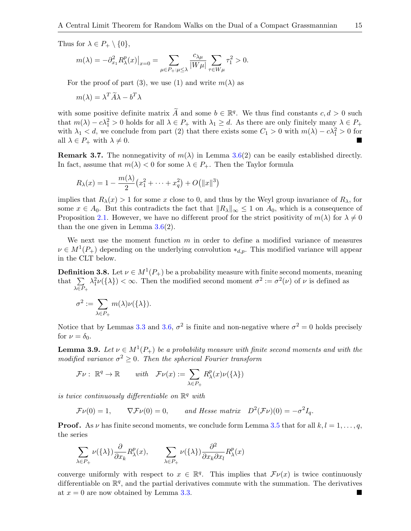Thus for  $\lambda \in P_+ \setminus \{0\},\$ 

$$
m(\lambda)=-\partial_{x_1}^2 R_{\lambda}^p(x)\big|_{x=0}=\sum_{\mu\in P_+:\mu\leq \lambda}\frac{c_{\lambda\mu}}{|W\mu|}\sum_{\tau\in W\mu}\tau_1^2>0.
$$

For the proof of part (3), we use (1) and write  $m(\lambda)$  as

$$
m(\lambda) = \lambda^T \widetilde{A} \lambda - b^T \lambda
$$

with some positive definite matrix  $\widetilde{A}$  and some  $b \in \mathbb{R}^q$ . We thus find constants  $c, d > 0$  such that  $m(\lambda) - c\lambda_1^2 > 0$  holds for all  $\lambda \in P_+$  with  $\lambda_1 \geq d$ . As there are only finitely many  $\lambda \in P_+$ with  $\lambda_1 < d$ , we conclude from part (2) that there exists some  $C_1 > 0$  with  $m(\lambda) - c\lambda_1^2 > 0$  for all  $\lambda \in P_+$  with  $\lambda \neq 0$ .

**Remark 3.7.** The nonnegativity of  $m(\lambda)$  in Lemma [3.6\(](#page-13-0)2) can be easily established directly. In fact, assume that  $m(\lambda) < 0$  for some  $\lambda \in P_+$ . Then the Taylor formula

$$
R_{\lambda}(x) = 1 - \frac{m(\lambda)}{2} (x_1^2 + \dots + x_q^2) + O(||x||^3)
$$

implies that  $R_\lambda(x) > 1$  for some x close to 0, and thus by the Weyl group invariance of  $R_\lambda$ , for some  $x \in A_0$ . But this contradicts the fact that  $||R_\lambda||_\infty \leq 1$  on  $A_0$ , which is a consequence of Proposition [2.1.](#page-3-0) However, we have no different proof for the strict positivity of  $m(\lambda)$  for  $\lambda \neq 0$ than the one given in Lemma  $3.6(2)$  $3.6(2)$ .

We next use the moment function  $m$  in order to define a modified variance of measures  $\nu \in M^1(P_+)$  depending on the underlying convolution  $*_d,p$ . This modified variance will appear in the CLT below.

**Definition 3.8.** Let  $\nu \in M^1(P_+)$  be a probability measure with finite second moments, meaning that  $\Sigma$  $\lambda \in P_+$  $\lambda_1^2 \nu(\{\lambda\}) < \infty$ . Then the modified second moment  $\sigma^2 := \sigma^2(\nu)$  of  $\nu$  is defined as

$$
\sigma^2:=\sum_{\lambda\in P_+} m(\lambda)\nu(\{\lambda\}).
$$

Notice that by Lemmas [3.3](#page-11-0) and [3.6,](#page-13-0)  $\sigma^2$  is finite and non-negative where  $\sigma^2 = 0$  holds precisely for  $\nu = \delta_0$ .

<span id="page-14-0"></span>**Lemma 3.9.** Let  $\nu \in M^1(P_+)$  be a probability measure with finite second moments and with the modified variance  $\sigma^2 \geq 0$ . Then the spherical Fourier transform

$$
\mathcal{F}\nu: \ \mathbb{R}^q \to \mathbb{R} \qquad with \quad \mathcal{F}\nu(x) := \sum_{\lambda \in P_+} R_{\lambda}^p(x)\nu(\{\lambda\})
$$

is twice continuously differentiable on  $\mathbb{R}^q$  with

$$
\mathcal{F}\nu(0) = 1,
$$
  $\nabla \mathcal{F}\nu(0) = 0,$  and Hesse matrix  $D^2(\mathcal{F}\nu)(0) = -\sigma^2 I_q.$ 

**Proof.** As  $\nu$  has finite second moments, we conclude form Lemma [3.5](#page-12-1) that for all  $k, l = 1, \ldots, q$ , the series

$$
\sum_{\lambda \in P_+} \nu(\{\lambda\}) \frac{\partial}{\partial x_k} R_{\lambda}^p(x), \qquad \sum_{\lambda \in P_+} \nu(\{\lambda\}) \frac{\partial^2}{\partial x_k \partial x_l} R_{\lambda}^p(x)
$$

converge uniformly with respect to  $x \in \mathbb{R}^q$ . This implies that  $\mathcal{F}\nu(x)$  is twice continuously differentiable on  $\mathbb{R}^q$ , and the partial derivatives commute with the summation. The derivatives at  $x = 0$  are now obtained by Lemma [3.3.](#page-11-0)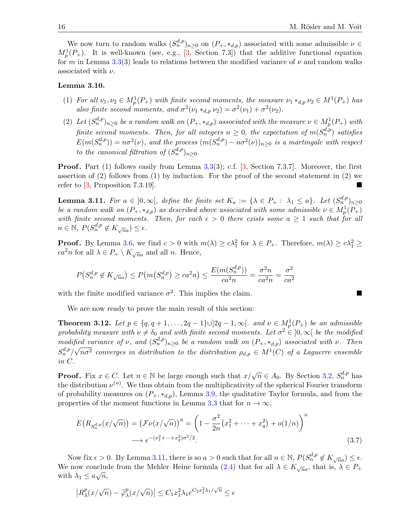We now turn to random walks  $(S_n^{d,p})_{n\geq 0}$  on  $(P_+, *_{d,p})$  associated with some admissible  $\nu \in$  $M_p^1(P_+)$ . It is well-known (see, e.g., [\[3,](#page-16-3) Section 7.3]) that the additive functional equation for m in Lemma [3.3\(](#page-11-0)3) leads to relations between the modified variance of  $\nu$  and random walks associated with  $\nu$ .

#### Lemma 3.10.

- (1) For all  $\nu_1, \nu_2 \in M_p^1(P_+)$  with finite second moments, the measure  $\nu_1 *_{d,p} \nu_2 \in M^1(P_+)$  has also finite second moments, and  $\sigma^2(\nu_1 *_{d,p} \nu_2) = \sigma^2(\nu_1) + \sigma^2(\nu_2)$ .
- (2) Let  $(S_n^{d,p})_{n\geq 0}$  be a random walk on  $(P_+, *_{d,p})$  associated with the measure  $\nu \in M_p^1(P_+)$  with finite second moments. Then, for all integers  $n \geq 0$ , the expectation of  $m(S_n^{d,p})$  satisfies  $E(m(S_n^{d,p})) = n\sigma^2(\nu)$ , and the process  $(m(S_n^{d,p}) - n\sigma^2(\nu))_{n\geq 0}$  is a martingale with respect to the canonical filtration of  $(S_n^{d,p})_{n\geq 0}$ .

**Proof.** Part (1) follows easily from Lemma  $3.3(3)$  $3.3(3)$ ; c.f. [\[3,](#page-16-3) Section 7.3.7]. Moreover, the first assertion of  $(2)$  follows from  $(1)$  by induction. For the proof of the second statement in  $(2)$  we refer to [\[3,](#page-16-3) Proposition 7.3.19].

<span id="page-15-1"></span>**Lemma 3.11.** For  $a \in (0, \infty)$ , define the finite set  $K_a := \{ \lambda \in P_+ : \lambda_1 \leq a \}$ . Let  $(S_n^{d,p})_{n \geq 0}$ be a random walk on  $(P_+, *_{d,p})$  as described above associated with some admissible  $\nu \in M_p^1(P_+)$ with finite second moments. Then, for each  $\epsilon > 0$  there exists some  $a \ge 1$  such that for all  $n \in \mathbb{N}, P(S_n^{d,p} \notin K_{\sqrt{n}a}) \leq \epsilon.$ 

**Proof.** By Lemma [3.6,](#page-13-0) we find  $c > 0$  with  $m(\lambda) \ge c\lambda_1^2$  for  $\lambda \in P_+$ . Therefore,  $m(\lambda) \ge c\lambda_1^2 \ge$  $ca^2n$  for all  $\lambda \in P_+ \setminus K_{\sqrt{n}a}$  and all n. Hence,

$$
P(S_n^{d,p} \notin K_{\sqrt{n}a}) \le P(m(S_n^{d,p}) \ge ca^2n) \le \frac{E(m(S_n^{d,p}))}{ca^2n} = \frac{\sigma^2n}{ca^2n} = \frac{\sigma^2}{ca^2}
$$

with the finite modified variance  $\sigma^2$ . This implies the claim.

We are now ready to prove the main result of this section:

<span id="page-15-0"></span>**Theorem 3.12.** Let  $p \in \{q, q+1, \ldots, 2q-1\} \cup [2q-1, \infty[$ . and  $\nu \in M_p^1(P_+)$  be an admissible probability measure with  $\nu \neq \delta_0$  and with finite second moments. Let  $\sigma^2 \in ]0,\infty[$  be the modified modified variance of  $\nu$ , and  $(S_n^{d,p})_{n\geq 0}$  be a random walk on  $(P_+, *_{d,p})$  associated with  $\nu$ . Then  $S_n^{d,p}/\sqrt{n\sigma^2}$  converges in distribution to the distribution  $\rho_{d,p} \in M^1(C)$  of a Laguerre ensemble in C.

**Proof.** Fix  $x \in C$ . Let  $n \in \mathbb{N}$  be large enough such that  $x/\sqrt{n} \in A_0$ . By Section [3.2,](#page-9-1)  $S_n^{d,p}$  has the distribution  $\nu^{(n)}$ . We thus obtain from the multiplicativity of the spherical Fourier transform of probability measures on  $(P_+, *_{d,p})$ , Lemma [3.9,](#page-14-0) the qualitative Taylor formula, and from the properties of the moment functions in Lemma [3.3](#page-11-0) that for  $n \to \infty$ ,

<span id="page-15-2"></span>
$$
E\big(R_{S_n^{d,p}}(x/\sqrt{n})\big) = \left(\mathcal{F}\nu(x/\sqrt{n})\right)^n = \left(1 - \frac{\sigma^2}{2n}(x_1^2 + \dots + x_q^2) + o(1/n)\right)^n
$$
  

$$
\longrightarrow e^{-(x_1^2 + \dots + x_q^2)\sigma^2/2}.
$$
 (3.7)

Now fix  $\epsilon > 0$ . By Lemma [3.11,](#page-15-1) there is so  $a > 0$  such that for all  $n \in \mathbb{N}$ ,  $P(S_n^{d,p} \notin K_{\sqrt{n}a}) \leq \epsilon$ . We now conclude from the Mehler–Heine formula [\(2.4\)](#page-5-0) that for all  $\lambda \in K_{\sqrt{n}a}$ , that is,  $\lambda \in P_+$ with  $\lambda_1 \leq a\sqrt{n}$ ,

$$
\left| R_\lambda^p(x/\sqrt{n}) - \tilde{\varphi}_\lambda^p(x/\sqrt{n}) \right| \leq C_1 x_1^2 \lambda_1 e^{C_2 x_1^2 \lambda_1/\sqrt{n}} \leq \epsilon
$$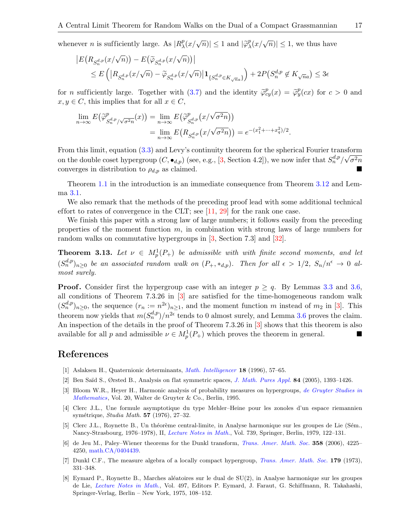whenever *n* is sufficiently large. As  $|R_{\lambda}^{p}$  $\left|\frac{p}{\lambda}(x/\sqrt{n})\right| \leq 1$  and  $|\widetilde{\varphi}_{\lambda}^{p}|$  $\frac{p}{\lambda}(x/\sqrt{n}) \leq 1$ , we thus have

$$
\begin{aligned} &\left|E\big(R_{S^{d,p}_n}(x/\sqrt{n})\big)-E\big(\widetilde{\varphi}_{S^{d,p}_n}(x/\sqrt{n})\big)\right|\\ &\leq E\left(\left|R_{S^{d,p}_n}(x/\sqrt{n})-\widetilde{\varphi}_{S^{d,p}_n}(x/\sqrt{n})\right|\mathbf{1}_{\{S^{d,p}_n\in K_{\sqrt{n}a}\}}\right)+2P\big(S^{d,p}_n\not\in K_{\sqrt{n}a}\big)\leq 3\epsilon \end{aligned}
$$

for *n* sufficiently large. Together with [\(3.7\)](#page-15-2) and the identity  $\tilde{\varphi}_{cy}^p(x) = \tilde{\varphi}_y^p(cx)$  for  $c > 0$  and  $x \in G$  this implies that for all  $x \in G$ .  $x, y \in C$ , this implies that for all  $x \in C$ ,

$$
\lim_{n \to \infty} E(\widetilde{\varphi}_{S_n^{d,p}/\sqrt{\sigma^2 n}}^p(x)) = \lim_{n \to \infty} E(\widetilde{\varphi}_{S_n^{d,p}}^p(x/\sqrt{\sigma^2 n}))
$$
  
= 
$$
\lim_{n \to \infty} E(R_{S_n^{d,p}}(x/\sqrt{\sigma^2 n})) = e^{-(x_1^2 + \dots + x_q^2)/2}.
$$

From this limit, equation [\(3.3\)](#page-10-0) and Levy's continuity theorem for the spherical Fourier transform on the double coset hypergroup  $(C, \bullet_{d,p})$  (see, e.g., [\[3,](#page-16-3) Section 4.2]), we now infer that  $S_n^{d,p}/\sqrt{\sigma^2 n}$ converges in distribution to  $\rho_{d,p}$  as claimed.

Theorem [1.1](#page-2-0) in the introduction is an immediate consequence from Theorem [3.12](#page-15-0) and Lemma [3.1.](#page-9-2)

We also remark that the methods of the preceding proof lead with some additional technical effort to rates of convergence in the CLT; see  $[11, 29]$  $[11, 29]$  $[11, 29]$  for the rank one case.

We finish this paper with a strong law of large numbers; it follows easily from the preceding properties of the moment function  $m$ , in combination with strong laws of large numbers for random walks on commutative hypergroups in [\[3,](#page-16-3) Section 7.3] and [\[32\]](#page-17-12).

**Theorem 3.13.** Let  $\nu \in M_p^1(P_+)$  be admissible with with finite second moments, and let  $(S_n^{d,p})_{n\geq 0}$  be an associated random walk on  $(P_+, *_{d,p})$ . Then for all  $\epsilon > 1/2$ ,  $S_n/n^{\epsilon} \to 0$  almost surely.

**Proof.** Consider first the hypergroup case with an integer  $p \ge q$ . By Lemmas [3.3](#page-11-0) and [3.6,](#page-13-0) all conditions of Theorem 7.3.26 in [\[3\]](#page-16-3) are satisfied for the time-homogeneous random walk  $(S_n^{d,p})_{n\geq 0}$ , the sequence  $(r_n := n^{2\epsilon})_{n\geq 1}$ , and the moment function m instead of  $m_2$  in [\[3\]](#page-16-3). This theorem now yields that  $m(S_n^{d,p})/n^{2\epsilon}$  tends to 0 almost surely, and Lemma [3.6](#page-13-0) proves the claim. An inspection of the details in the proof of Theorem 7.3.26 in [\[3\]](#page-16-3) shows that this theorem is also available for all p and admissible  $\nu \in M_p^1(P_+)$  which proves the theorem in general.

### References

- <span id="page-16-7"></span>[1] Aslaksen H., Quaternionic determinants, [Math. Intelligencer](http://dx.doi.org/10.1007/BF03024312) 18 (1996), 57–65.
- <span id="page-16-1"></span>[2] Ben Saïd S., Ørsted B., Analysis on flat symmetric spaces, *[J. Math. Pures Appl.](http://dx.doi.org/10.1016/j.matpur.2005.01.006)* 84 (2005), 1393–1426.
- <span id="page-16-3"></span>[3] Bloom W.R., Heyer H., Harmonic analysis of probability measures on hypergroups, [de Gruyter Studies in](http://dx.doi.org/10.1515/9783110877595) [Mathematics](http://dx.doi.org/10.1515/9783110877595), Vol. 20, Walter de Gruyter & Co., Berlin, 1995.
- <span id="page-16-0"></span>[4] Clerc J.L., Une formule asymptotique du type Mehler–Heine pour les zonoles d'un espace riemannien symétrique, Studia Math.  $57$  (1976), 27–32.
- <span id="page-16-6"></span>[5] Clerc J.L., Roynette B., Un théorème central-limite, in Analyse harmonique sur les groupes de Lie (Sém., Nancy-Strasbourg, 1976–1978), II, [Lecture Notes in Math.](http://dx.doi.org/10.1007/BFb0062490), Vol. 739, Springer, Berlin, 1979, 122–131.
- <span id="page-16-2"></span>[6] de Jeu M., Paley–Wiener theorems for the Dunkl transform, *[Trans. Amer. Math. Soc.](http://dx.doi.org/10.1090/S0002-9947-06-03960-2)* 358 (2006), 4225– 4250, [math.CA/0404439.](http://arxiv.org/abs/math.CA/0404439)
- <span id="page-16-4"></span>[7] Dunkl C.F., The measure algebra of a locally compact hypergroup, *[Trans. Amer. Math. Soc.](http://dx.doi.org/10.1090/S0002-9947-1973-0320635-2)* 179 (1973), 331–348.
- <span id="page-16-5"></span>[8] Eymard P., Roynette B., Marches al´eatoires sur le dual de SU(2), in Analyse harmonique sur les groupes de Lie, [Lecture Notes in Math.](http://dx.doi.org/10.1007/BFb0078014), Vol. 497, Editors P. Eymard, J. Faraut, G. Schiffmann, R. Takahashi, Springer-Verlag, Berlin – New York, 1975, 108–152.